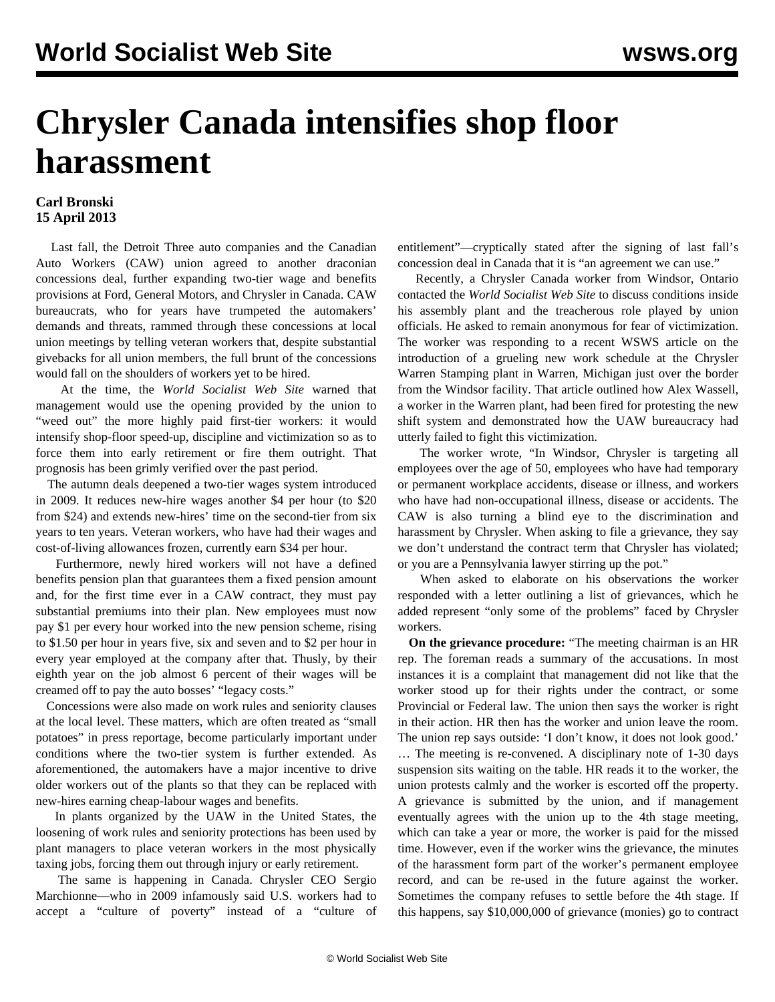## **Chrysler Canada intensifies shop floor harassment**

## **Carl Bronski 15 April 2013**

 Last fall, the Detroit Three auto companies and the Canadian Auto Workers (CAW) union agreed to another draconian concessions deal, further expanding two-tier wage and benefits provisions at Ford, General Motors, and Chrysler in Canada. CAW bureaucrats, who for years have trumpeted the automakers' demands and threats, rammed through these concessions at local union meetings by telling veteran workers that, despite substantial givebacks for all union members, the full brunt of the concessions would fall on the shoulders of workers yet to be hired.

 At the time, the *World Socialist Web Site* warned that management would use the opening provided by the union to "weed out" the more highly paid first-tier workers: it would intensify shop-floor speed-up, discipline and victimization so as to force them into early retirement or fire them outright. That prognosis has been grimly verified over the past period.

 The autumn deals deepened a two-tier wages system introduced in 2009. It reduces new-hire wages another \$4 per hour (to \$20 from \$24) and extends new-hires' time on the second-tier from six years to ten years. Veteran workers, who have had their wages and cost-of-living allowances frozen, currently earn \$34 per hour.

 Furthermore, newly hired workers will not have a defined benefits pension plan that guarantees them a fixed pension amount and, for the first time ever in a CAW contract, they must pay substantial premiums into their plan. New employees must now pay \$1 per every hour worked into the new pension scheme, rising to \$1.50 per hour in years five, six and seven and to \$2 per hour in every year employed at the company after that. Thusly, by their eighth year on the job almost 6 percent of their wages will be creamed off to pay the auto bosses' "legacy costs."

 Concessions were also made on work rules and seniority clauses at the local level. These matters, which are often treated as "small potatoes" in press reportage, become particularly important under conditions where the two-tier system is further extended. As aforementioned, the automakers have a major incentive to drive older workers out of the plants so that they can be replaced with new-hires earning cheap-labour wages and benefits.

 In plants organized by the UAW in the United States, the loosening of work rules and seniority protections has been used by plant managers to place veteran workers in the most physically taxing jobs, forcing them out through injury or early retirement.

 The same is happening in Canada. Chrysler CEO Sergio Marchionne—who in 2009 infamously said U.S. workers had to accept a "culture of poverty" instead of a "culture of entitlement"—cryptically stated after the signing of last fall's concession deal in Canada that it is "an agreement we can use."

 Recently, a Chrysler Canada worker from Windsor, Ontario contacted the *World Socialist Web Site* to discuss conditions inside his assembly plant and the treacherous role played by union officials. He asked to remain anonymous for fear of victimization. The worker was responding to a recent WSWS article on the introduction of a grueling new work schedule at the Chrysler Warren Stamping plant in Warren, Michigan just over the border from the Windsor facility. That article outlined how Alex Wassell, a worker in the Warren plant, had been fired for protesting the new shift system and demonstrated how the UAW bureaucracy had utterly failed to fight this victimization.

 The worker wrote, "In Windsor, Chrysler is targeting all employees over the age of 50, employees who have had temporary or permanent workplace accidents, disease or illness, and workers who have had non-occupational illness, disease or accidents. The CAW is also turning a blind eye to the discrimination and harassment by Chrysler. When asking to file a grievance, they say we don't understand the contract term that Chrysler has violated; or you are a Pennsylvania lawyer stirring up the pot."

 When asked to elaborate on his observations the worker responded with a letter outlining a list of grievances, which he added represent "only some of the problems" faced by Chrysler workers.

 **On the grievance procedure:** "The meeting chairman is an HR rep. The foreman reads a summary of the accusations. In most instances it is a complaint that management did not like that the worker stood up for their rights under the contract, or some Provincial or Federal law. The union then says the worker is right in their action. HR then has the worker and union leave the room. The union rep says outside: 'I don't know, it does not look good.' … The meeting is re-convened. A disciplinary note of 1-30 days suspension sits waiting on the table. HR reads it to the worker, the union protests calmly and the worker is escorted off the property. A grievance is submitted by the union, and if management eventually agrees with the union up to the 4th stage meeting, which can take a year or more, the worker is paid for the missed time. However, even if the worker wins the grievance, the minutes of the harassment form part of the worker's permanent employee record, and can be re-used in the future against the worker. Sometimes the company refuses to settle before the 4th stage. If this happens, say \$10,000,000 of grievance (monies) go to contract